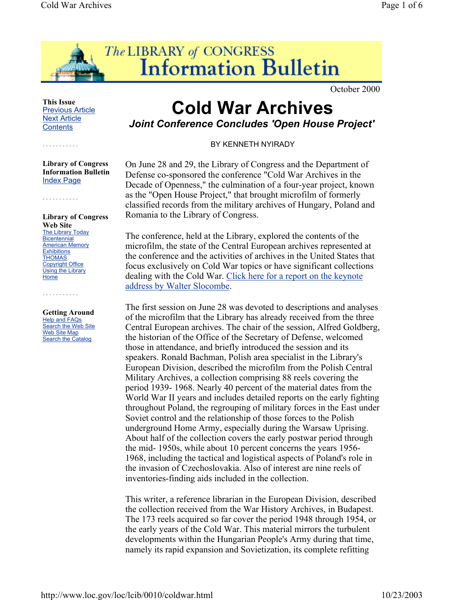

October 2000

## **This Issue** Previous Article Next Article **Contents**

- - - - - - - - - - -

- - - - - - - - - - -

**Library of Congress Information Bulletin** Index Page

## **Library of Congress Web Site** The Library Today **Bicentennial American Memory Exhibitions THOMAS** Copyright Office Using the Library Home

**Getting Around** Help and FAQs Search the Web Site Web Site Map Search the Catalog

- - - - - - - - - - -

## **Cold War Archives** *Joint Conference Concludes 'Open House Project'*

BY KENNETH NYIRADY

On June 28 and 29, the Library of Congress and the Department of Defense co-sponsored the conference "Cold War Archives in the Decade of Openness," the culmination of a four-year project, known as the "Open House Project," that brought microfilm of formerly classified records from the military archives of Hungary, Poland and Romania to the Library of Congress.

The conference, held at the Library, explored the contents of the microfilm, the state of the Central European archives represented at the conference and the activities of archives in the United States that focus exclusively on Cold War topics or have significant collections dealing with the Cold War. Click here for a report on the keynote address by Walter Slocombe.

The first session on June 28 was devoted to descriptions and analyses of the microfilm that the Library has already received from the three Central European archives. The chair of the session, Alfred Goldberg, the historian of the Office of the Secretary of Defense, welcomed those in attendance, and briefly introduced the session and its speakers. Ronald Bachman, Polish area specialist in the Library's European Division, described the microfilm from the Polish Central Military Archives, a collection comprising 88 reels covering the period 1939- 1968. Nearly 40 percent of the material dates from the World War II years and includes detailed reports on the early fighting throughout Poland, the regrouping of military forces in the East under Soviet control and the relationship of those forces to the Polish underground Home Army, especially during the Warsaw Uprising. About half of the collection covers the early postwar period through the mid- 1950s, while about 10 percent concerns the years 1956- 1968, including the tactical and logistical aspects of Poland's role in the invasion of Czechoslovakia. Also of interest are nine reels of inventories-finding aids included in the collection.

This writer, a reference librarian in the European Division, described the collection received from the War History Archives, in Budapest. The 173 reels acquired so far cover the period 1948 through 1954, or the early years of the Cold War. This material mirrors the turbulent developments within the Hungarian People's Army during that time, namely its rapid expansion and Sovietization, its complete refitting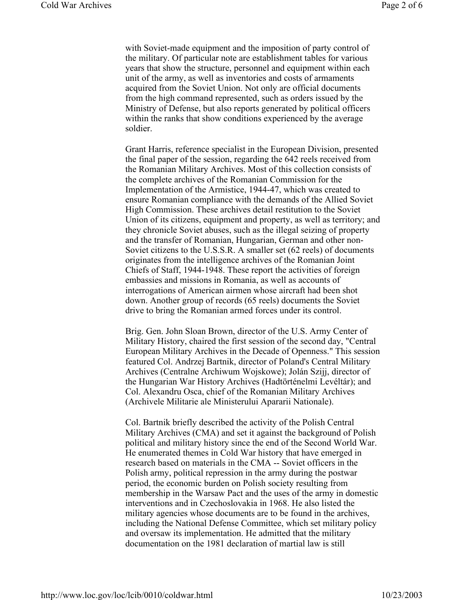with Soviet-made equipment and the imposition of party control of the military. Of particular note are establishment tables for various years that show the structure, personnel and equipment within each unit of the army, as well as inventories and costs of armaments acquired from the Soviet Union. Not only are official documents from the high command represented, such as orders issued by the Ministry of Defense, but also reports generated by political officers within the ranks that show conditions experienced by the average soldier.

Grant Harris, reference specialist in the European Division, presented the final paper of the session, regarding the 642 reels received from the Romanian Military Archives. Most of this collection consists of the complete archives of the Romanian Commission for the Implementation of the Armistice, 1944-47, which was created to ensure Romanian compliance with the demands of the Allied Soviet High Commission. These archives detail restitution to the Soviet Union of its citizens, equipment and property, as well as territory; and they chronicle Soviet abuses, such as the illegal seizing of property and the transfer of Romanian, Hungarian, German and other non-Soviet citizens to the U.S.S.R. A smaller set (62 reels) of documents originates from the intelligence archives of the Romanian Joint Chiefs of Staff, 1944-1948. These report the activities of foreign embassies and missions in Romania, as well as accounts of interrogations of American airmen whose aircraft had been shot down. Another group of records (65 reels) documents the Soviet drive to bring the Romanian armed forces under its control.

Brig. Gen. John Sloan Brown, director of the U.S. Army Center of Military History, chaired the first session of the second day, "Central European Military Archives in the Decade of Openness." This session featured Col. Andrzej Bartnik, director of Poland's Central Military Archives (Centralne Archiwum Wojskowe); Jolán Szijj, director of the Hungarian War History Archives (Hadtörténelmi Levéltár); and Col. Alexandru Osca, chief of the Romanian Military Archives (Archivele Militarie ale Ministerului Apararii Nationale).

Col. Bartnik briefly described the activity of the Polish Central Military Archives (CMA) and set it against the background of Polish political and military history since the end of the Second World War. He enumerated themes in Cold War history that have emerged in research based on materials in the CMA -- Soviet officers in the Polish army, political repression in the army during the postwar period, the economic burden on Polish society resulting from membership in the Warsaw Pact and the uses of the army in domestic interventions and in Czechoslovakia in 1968. He also listed the military agencies whose documents are to be found in the archives, including the National Defense Committee, which set military policy and oversaw its implementation. He admitted that the military documentation on the 1981 declaration of martial law is still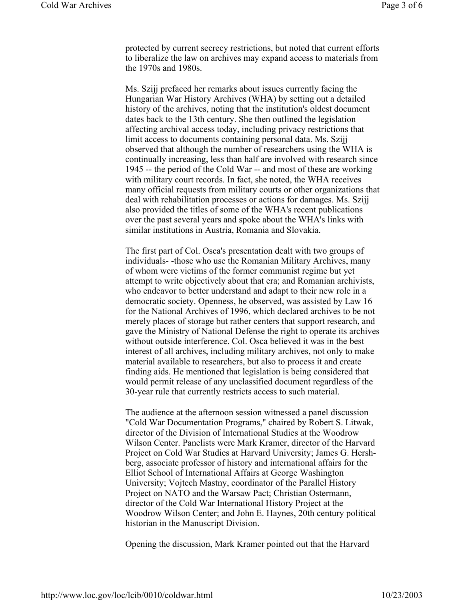protected by current secrecy restrictions, but noted that current efforts to liberalize the law on archives may expand access to materials from the 1970s and 1980s.

Ms. Szijj prefaced her remarks about issues currently facing the Hungarian War History Archives (WHA) by setting out a detailed history of the archives, noting that the institution's oldest document dates back to the 13th century. She then outlined the legislation affecting archival access today, including privacy restrictions that limit access to documents containing personal data. Ms. Szijj observed that although the number of researchers using the WHA is continually increasing, less than half are involved with research since 1945 -- the period of the Cold War -- and most of these are working with military court records. In fact, she noted, the WHA receives many official requests from military courts or other organizations that deal with rehabilitation processes or actions for damages. Ms. Szijj also provided the titles of some of the WHA's recent publications over the past several years and spoke about the WHA's links with similar institutions in Austria, Romania and Slovakia.

The first part of Col. Osca's presentation dealt with two groups of individuals- -those who use the Romanian Military Archives, many of whom were victims of the former communist regime but yet attempt to write objectively about that era; and Romanian archivists, who endeavor to better understand and adapt to their new role in a democratic society. Openness, he observed, was assisted by Law 16 for the National Archives of 1996, which declared archives to be not merely places of storage but rather centers that support research, and gave the Ministry of National Defense the right to operate its archives without outside interference. Col. Osca believed it was in the best interest of all archives, including military archives, not only to make material available to researchers, but also to process it and create finding aids. He mentioned that legislation is being considered that would permit release of any unclassified document regardless of the 30-year rule that currently restricts access to such material.

The audience at the afternoon session witnessed a panel discussion "Cold War Documentation Programs," chaired by Robert S. Litwak, director of the Division of International Studies at the Woodrow Wilson Center. Panelists were Mark Kramer, director of the Harvard Project on Cold War Studies at Harvard University; James G. Hershberg, associate professor of history and international affairs for the Elliot School of International Affairs at George Washington University; Vojtech Mastny, coordinator of the Parallel History Project on NATO and the Warsaw Pact; Christian Ostermann, director of the Cold War International History Project at the Woodrow Wilson Center; and John E. Haynes, 20th century political historian in the Manuscript Division.

Opening the discussion, Mark Kramer pointed out that the Harvard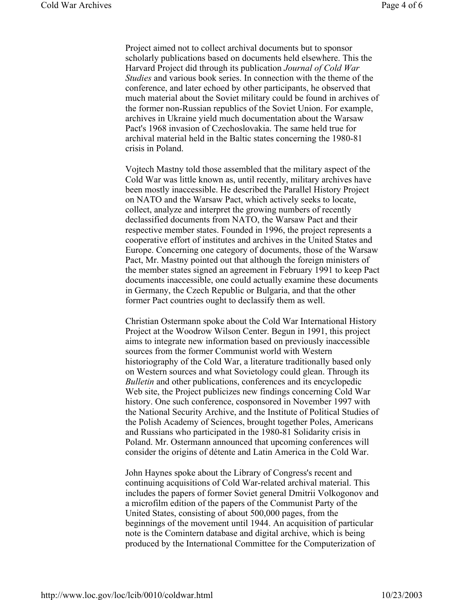Project aimed not to collect archival documents but to sponsor scholarly publications based on documents held elsewhere. This the Harvard Project did through its publication *Journal of Cold War Studies* and various book series. In connection with the theme of the conference, and later echoed by other participants, he observed that much material about the Soviet military could be found in archives of the former non-Russian republics of the Soviet Union. For example, archives in Ukraine yield much documentation about the Warsaw Pact's 1968 invasion of Czechoslovakia. The same held true for archival material held in the Baltic states concerning the 1980-81 crisis in Poland.

Vojtech Mastny told those assembled that the military aspect of the Cold War was little known as, until recently, military archives have been mostly inaccessible. He described the Parallel History Project on NATO and the Warsaw Pact, which actively seeks to locate, collect, analyze and interpret the growing numbers of recently declassified documents from NATO, the Warsaw Pact and their respective member states. Founded in 1996, the project represents a cooperative effort of institutes and archives in the United States and Europe. Concerning one category of documents, those of the Warsaw Pact, Mr. Mastny pointed out that although the foreign ministers of the member states signed an agreement in February 1991 to keep Pact documents inaccessible, one could actually examine these documents in Germany, the Czech Republic or Bulgaria, and that the other former Pact countries ought to declassify them as well.

Christian Ostermann spoke about the Cold War International History Project at the Woodrow Wilson Center. Begun in 1991, this project aims to integrate new information based on previously inaccessible sources from the former Communist world with Western historiography of the Cold War, a literature traditionally based only on Western sources and what Sovietology could glean. Through its *Bulletin* and other publications, conferences and its encyclopedic Web site, the Project publicizes new findings concerning Cold War history. One such conference, cosponsored in November 1997 with the National Security Archive, and the Institute of Political Studies of the Polish Academy of Sciences, brought together Poles, Americans and Russians who participated in the 1980-81 Solidarity crisis in Poland. Mr. Ostermann announced that upcoming conferences will consider the origins of détente and Latin America in the Cold War.

John Haynes spoke about the Library of Congress's recent and continuing acquisitions of Cold War-related archival material. This includes the papers of former Soviet general Dmitrii Volkogonov and a microfilm edition of the papers of the Communist Party of the United States, consisting of about 500,000 pages, from the beginnings of the movement until 1944. An acquisition of particular note is the Comintern database and digital archive, which is being produced by the International Committee for the Computerization of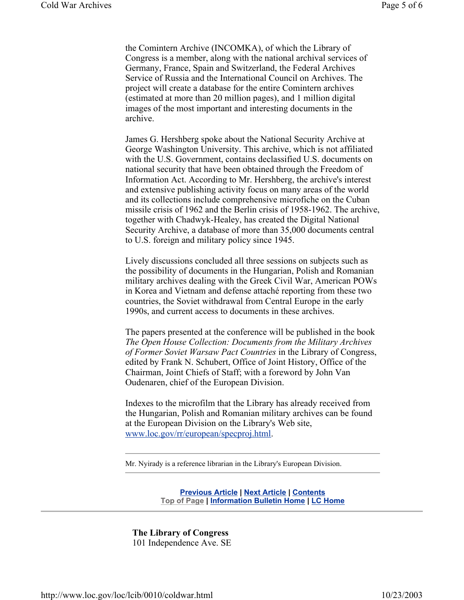the Comintern Archive (INCOMKA), of which the Library of Congress is a member, along with the national archival services of Germany, France, Spain and Switzerland, the Federal Archives Service of Russia and the International Council on Archives. The project will create a database for the entire Comintern archives (estimated at more than 20 million pages), and 1 million digital images of the most important and interesting documents in the archive.

James G. Hershberg spoke about the National Security Archive at George Washington University. This archive, which is not affiliated with the U.S. Government, contains declassified U.S. documents on national security that have been obtained through the Freedom of Information Act. According to Mr. Hershberg, the archive's interest and extensive publishing activity focus on many areas of the world and its collections include comprehensive microfiche on the Cuban missile crisis of 1962 and the Berlin crisis of 1958-1962. The archive, together with Chadwyk-Healey, has created the Digital National Security Archive, a database of more than 35,000 documents central to U.S. foreign and military policy since 1945.

Lively discussions concluded all three sessions on subjects such as the possibility of documents in the Hungarian, Polish and Romanian military archives dealing with the Greek Civil War, American POWs in Korea and Vietnam and defense attaché reporting from these two countries, the Soviet withdrawal from Central Europe in the early 1990s, and current access to documents in these archives.

The papers presented at the conference will be published in the book *The Open House Collection: Documents from the Military Archives of Former Soviet Warsaw Pact Countries* in the Library of Congress, edited by Frank N. Schubert, Office of Joint History, Office of the Chairman, Joint Chiefs of Staff; with a foreword by John Van Oudenaren, chief of the European Division.

Indexes to the microfilm that the Library has already received from the Hungarian, Polish and Romanian military archives can be found at the European Division on the Library's Web site, www.loc.gov/rr/european/specproj.html.

Mr. Nyirady is a reference librarian in the Library's European Division.

**Previous Article | Next Article | Contents Top of Page | Information Bulletin Home | LC Home**

**The Library of Congress** 101 Independence Ave. SE